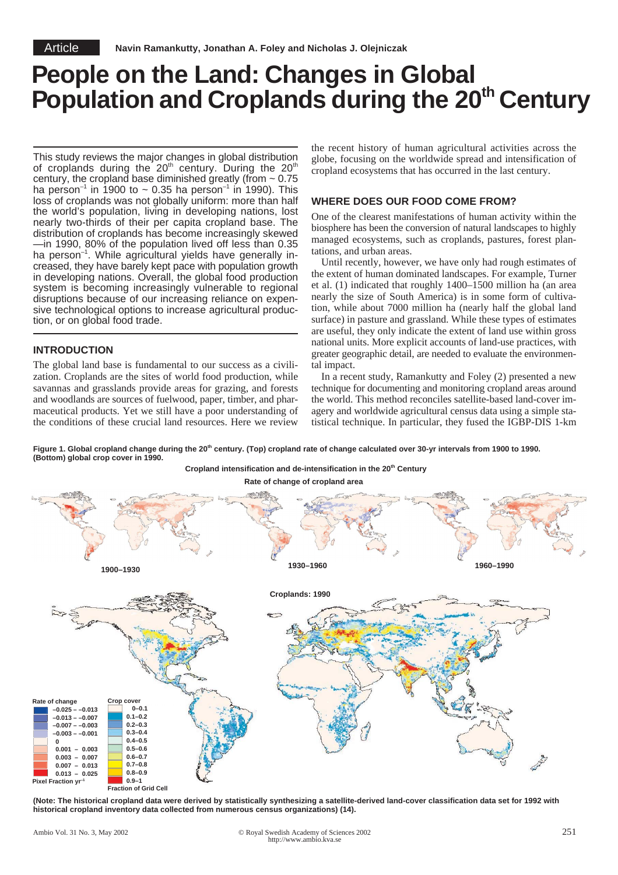# **People on the Land: Changes in Global Population and Croplands during the 20<sup>th</sup> Century**

This study reviews the major changes in global distribution of croplands during the  $20<sup>th</sup>$  century. During the  $20<sup>th</sup>$ century, the cropland base diminished greatly (from ~ 0.75 ha person<sup>-1</sup> in 1900 to  $\sim$  0.35 ha person<sup>-1</sup> in 1990). This loss of croplands was not globally uniform: more than half the world's population, living in developing nations, lost nearly two-thirds of their per capita cropland base. The distribution of croplands has become increasingly skewed —in 1990, 80% of the population lived off less than 0.35 ha person<sup>-1</sup>. While agricultural yields have generally increased, they have barely kept pace with population growth in developing nations. Overall, the global food production system is becoming increasingly vulnerable to regional disruptions because of our increasing reliance on expensive technological options to increase agricultural production, or on global food trade.

#### **INTRODUCTION**

The global land base is fundamental to our success as a civilization. Croplands are the sites of world food production, while savannas and grasslands provide areas for grazing, and forests and woodlands are sources of fuelwood, paper, timber, and pharmaceutical products. Yet we still have a poor understanding of the conditions of these crucial land resources. Here we review

the recent history of human agricultural activities across the globe, focusing on the worldwide spread and intensification of cropland ecosystems that has occurred in the last century.

## **WHERE DOES OUR FOOD COME FROM?**

One of the clearest manifestations of human activity within the biosphere has been the conversion of natural landscapes to highly managed ecosystems, such as croplands, pastures, forest plantations, and urban areas.

Until recently, however, we have only had rough estimates of the extent of human dominated landscapes. For example, Turner et al. (1) indicated that roughly 1400–1500 million ha (an area nearly the size of South America) is in some form of cultivation, while about 7000 million ha (nearly half the global land surface) in pasture and grassland. While these types of estimates are useful, they only indicate the extent of land use within gross national units. More explicit accounts of land-use practices, with greater geographic detail, are needed to evaluate the environmental impact.

In a recent study, Ramankutty and Foley (2) presented a new technique for documenting and monitoring cropland areas around the world. This method reconciles satellite-based land-cover imagery and worldwide agricultural census data using a simple statistical technique. In particular, they fused the IGBP-DIS 1-km

Figure 1. Global cropland change during the 20<sup>th</sup> century. (Top) cropland rate of change calculated over 30-yr intervals from 1900 to 1990. **(Bottom) global crop cover in 1990.**

Cropland intensification and de-intensification in the 20<sup>th</sup> Century



**(Note: The historical cropland data were derived by statistically synthesizing a satellite-derived land-cover classification data set for 1992 with historical cropland inventory data collected from numerous census organizations) (14).**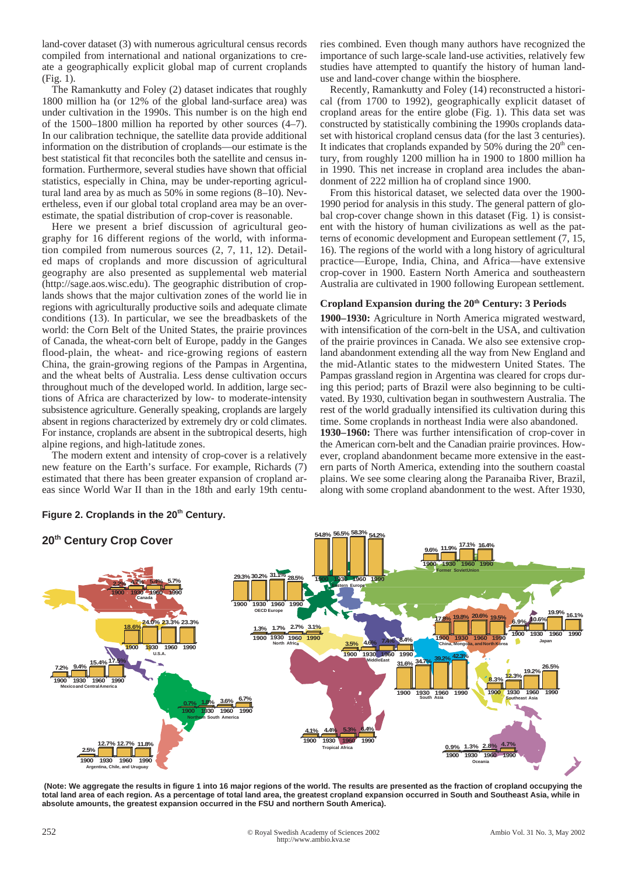land-cover dataset (3) with numerous agricultural census records compiled from international and national organizations to create a geographically explicit global map of current croplands (Fig. 1).

The Ramankutty and Foley (2) dataset indicates that roughly 1800 million ha (or 12% of the global land-surface area) was under cultivation in the 1990s. This number is on the high end of the 1500–1800 million ha reported by other sources (4–7). In our calibration technique, the satellite data provide additional information on the distribution of croplands—our estimate is the best statistical fit that reconciles both the satellite and census information. Furthermore, several studies have shown that official statistics, especially in China, may be under-reporting agricultural land area by as much as 50% in some regions (8–10). Nevertheless, even if our global total cropland area may be an overestimate, the spatial distribution of crop-cover is reasonable.

Here we present a brief discussion of agricultural geography for 16 different regions of the world, with information compiled from numerous sources (2, 7, 11, 12). Detailed maps of croplands and more discussion of agricultural geography are also presented as supplemental web material (http://sage.aos.wisc.edu). The geographic distribution of croplands shows that the major cultivation zones of the world lie in regions with agriculturally productive soils and adequate climate conditions (13). In particular, we see the breadbaskets of the world: the Corn Belt of the United States, the prairie provinces of Canada, the wheat-corn belt of Europe, paddy in the Ganges flood-plain, the wheat- and rice-growing regions of eastern China, the grain-growing regions of the Pampas in Argentina, and the wheat belts of Australia. Less dense cultivation occurs throughout much of the developed world. In addition, large sections of Africa are characterized by low- to moderate-intensity subsistence agriculture. Generally speaking, croplands are largely absent in regions characterized by extremely dry or cold climates. For instance, croplands are absent in the subtropical deserts, high alpine regions, and high-latitude zones.

The modern extent and intensity of crop-cover is a relatively new feature on the Earth's surface. For example, Richards (7) estimated that there has been greater expansion of cropland areas since World War II than in the 18th and early 19th centuries combined. Even though many authors have recognized the importance of such large-scale land-use activities, relatively few studies have attempted to quantify the history of human landuse and land-cover change within the biosphere.

Recently, Ramankutty and Foley (14) reconstructed a historical (from 1700 to 1992), geographically explicit dataset of cropland areas for the entire globe (Fig. 1). This data set was constructed by statistically combining the 1990s croplands dataset with historical cropland census data (for the last 3 centuries). It indicates that croplands expanded by 50% during the  $20<sup>th</sup>$  century, from roughly 1200 million ha in 1900 to 1800 million ha in 1990. This net increase in cropland area includes the abandonment of 222 million ha of cropland since 1900.

From this historical dataset, we selected data over the 1900- 1990 period for analysis in this study. The general pattern of global crop-cover change shown in this dataset (Fig. 1) is consistent with the history of human civilizations as well as the patterns of economic development and European settlement (7, 15, 16). The regions of the world with a long history of agricultural practice—Europe, India, China, and Africa—have extensive crop-cover in 1900. Eastern North America and southeastern Australia are cultivated in 1900 following European settlement.

#### Cropland Expansion during the 20<sup>th</sup> Century: 3 Periods

**1900–1930:** Agriculture in North America migrated westward, with intensification of the corn-belt in the USA, and cultivation of the prairie provinces in Canada. We also see extensive cropland abandonment extending all the way from New England and the mid-Atlantic states to the midwestern United States. The Pampas grassland region in Argentina was cleared for crops during this period; parts of Brazil were also beginning to be cultivated. By 1930, cultivation began in southwestern Australia. The rest of the world gradually intensified its cultivation during this time. Some croplands in northeast India were also abandoned.

**1930–1960:** There was further intensification of crop-cover in the American corn-belt and the Canadian prairie provinces. However, cropland abandonment became more extensive in the eastern parts of North America, extending into the southern coastal plains. We see some clearing along the Paranaiba River, Brazil, along with some cropland abandonment to the west. After 1930,



#### **(Note: We aggregate the results in figure 1 into 16 major regions of the world. The results are presented as the fraction of cropland occupying the total land area of each region. As a percentage of total land area, the greatest cropland expansion occurred in South and Southeast Asia, while in absolute amounts, the greatest expansion occurred in the FSU and northern South America).**

#### Figure 2. Croplands in the 20<sup>th</sup> Century.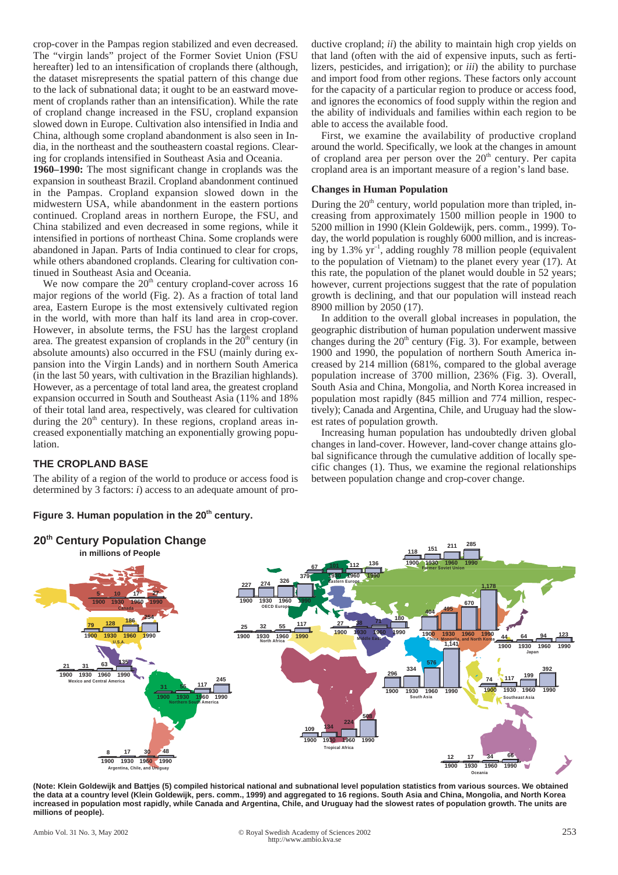crop-cover in the Pampas region stabilized and even decreased. The "virgin lands" project of the Former Soviet Union (FSU hereafter) led to an intensification of croplands there (although, the dataset misrepresents the spatial pattern of this change due to the lack of subnational data; it ought to be an eastward movement of croplands rather than an intensification). While the rate of cropland change increased in the FSU, cropland expansion slowed down in Europe. Cultivation also intensified in India and China, although some cropland abandonment is also seen in India, in the northeast and the southeastern coastal regions. Clearing for croplands intensified in Southeast Asia and Oceania.

**1960–1990:** The most significant change in croplands was the expansion in southeast Brazil. Cropland abandonment continued in the Pampas. Cropland expansion slowed down in the midwestern USA, while abandonment in the eastern portions continued. Cropland areas in northern Europe, the FSU, and China stabilized and even decreased in some regions, while it intensified in portions of northeast China. Some croplands were abandoned in Japan. Parts of India continued to clear for crops, while others abandoned croplands. Clearing for cultivation continued in Southeast Asia and Oceania.

We now compare the  $20<sup>th</sup>$  century cropland-cover across 16 major regions of the world (Fig. 2). As a fraction of total land area, Eastern Europe is the most extensively cultivated region in the world, with more than half its land area in crop-cover. However, in absolute terms, the FSU has the largest cropland area. The greatest expansion of croplands in the  $20<sup>th</sup>$  century (in absolute amounts) also occurred in the FSU (mainly during expansion into the Virgin Lands) and in northern South America (in the last 50 years, with cultivation in the Brazilian highlands). However, as a percentage of total land area, the greatest cropland expansion occurred in South and Southeast Asia (11% and 18% of their total land area, respectively, was cleared for cultivation during the  $20<sup>th</sup>$  century). In these regions, cropland areas increased exponentially matching an exponentially growing population.

#### **THE CROPLAND BASE**

The ability of a region of the world to produce or access food is determined by 3 factors: *i*) access to an adequate amount of pro-

## Figure 3. Human population in the 20<sup>th</sup> century.

ductive cropland; *ii*) the ability to maintain high crop yields on that land (often with the aid of expensive inputs, such as fertilizers, pesticides, and irrigation); or *iii*) the ability to purchase and import food from other regions. These factors only account for the capacity of a particular region to produce or access food, and ignores the economics of food supply within the region and the ability of individuals and families within each region to be able to access the available food.

First, we examine the availability of productive cropland around the world. Specifically, we look at the changes in amount of cropland area per person over the  $20<sup>th</sup>$  century. Per capita cropland area is an important measure of a region's land base.

#### **Changes in Human Population**

During the  $20<sup>th</sup>$  century, world population more than tripled, increasing from approximately 1500 million people in 1900 to 5200 million in 1990 (Klein Goldewijk, pers. comm., 1999). Today, the world population is roughly 6000 million, and is increasing by 1.3%  $yr^{-1}$ , adding roughly 78 million people (equivalent to the population of Vietnam) to the planet every year (17). At this rate, the population of the planet would double in 52 years; however, current projections suggest that the rate of population growth is declining, and that our population will instead reach 8900 million by 2050 (17).

In addition to the overall global increases in population, the geographic distribution of human population underwent massive changes during the  $20<sup>th</sup>$  century (Fig. 3). For example, between 1900 and 1990, the population of northern South America increased by 214 million (681%, compared to the global average population increase of 3700 million, 236% (Fig. 3). Overall, South Asia and China, Mongolia, and North Korea increased in population most rapidly (845 million and 774 million, respectively); Canada and Argentina, Chile, and Uruguay had the slowest rates of population growth.

Increasing human population has undoubtedly driven global changes in land-cover. However, land-cover change attains global significance through the cumulative addition of locally specific changes (1). Thus, we examine the regional relationships between population change and crop-cover change.



#### **(Note: Klein Goldewijk and Battjes (5) compiled historical national and subnational level population statistics from various sources. We obtained the data at a country level (Klein Goldewijk, pers. comm., 1999) and aggregated to 16 regions. South Asia and China, Mongolia, and North Korea increased in population most rapidly, while Canada and Argentina, Chile, and Uruguay had the slowest rates of population growth. The units are millions of people).**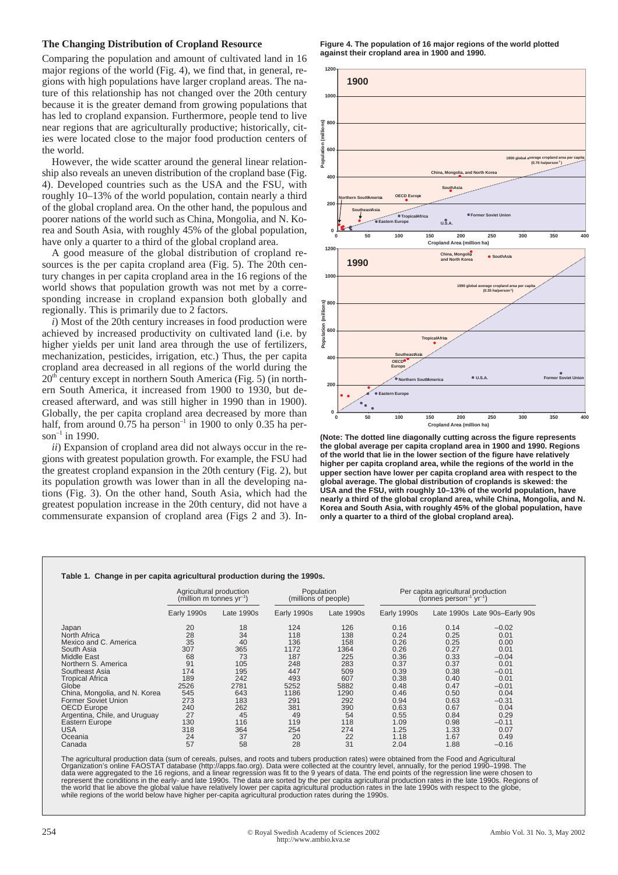#### **The Changing Distribution of Cropland Resource**

Comparing the population and amount of cultivated land in 16 major regions of the world (Fig. 4), we find that, in general, regions with high populations have larger cropland areas. The nature of this relationship has not changed over the 20th century because it is the greater demand from growing populations that has led to cropland expansion. Furthermore, people tend to live near regions that are agriculturally productive; historically, cities were located close to the major food production centers of the world.

However, the wide scatter around the general linear relationship also reveals an uneven distribution of the cropland base (Fig. 4). Developed countries such as the USA and the FSU, with roughly 10–13% of the world population, contain nearly a third of the global cropland area. On the other hand, the populous and poorer nations of the world such as China, Mongolia, and N. Korea and South Asia, with roughly 45% of the global population, have only a quarter to a third of the global cropland area.

A good measure of the global distribution of cropland resources is the per capita cropland area (Fig. 5). The 20th century changes in per capita cropland area in the 16 regions of the world shows that population growth was not met by a corresponding increase in cropland expansion both globally and regionally. This is primarily due to 2 factors.

*i*) Most of the 20th century increases in food production were achieved by increased productivity on cultivated land (i.e. by higher yields per unit land area through the use of fertilizers, mechanization, pesticides, irrigation, etc.) Thus, the per capita cropland area decreased in all regions of the world during the  $20<sup>th</sup>$  century except in northern South America (Fig. 5) (in northern South America, it increased from 1900 to 1930, but decreased afterward, and was still higher in 1990 than in 1900). Globally, the per capita cropland area decreased by more than half, from around  $0.75$  ha person<sup>-1</sup> in 1900 to only 0.35 ha person<sup>-1</sup> in 1990.

*ii*) Expansion of cropland area did not always occur in the regions with greatest population growth. For example, the FSU had the greatest cropland expansion in the 20th century (Fig. 2), but its population growth was lower than in all the developing nations (Fig. 3). On the other hand, South Asia, which had the greatest population increase in the 20th century, did not have a commensurate expansion of cropland area (Figs 2 and 3). In**Figure 4. The population of 16 major regions of the world plotted against their cropland area in 1900 and 1990.**



**(Note: The dotted line diagonally cutting across the figure represents the global average per capita cropland area in 1900 and 1990. Regions of the world that lie in the lower section of the figure have relatively higher per capita cropland area, while the regions of the world in the upper section have lower per capita cropland area with respect to the global average. The global distribution of croplands is skewed: the USA and the FSU, with roughly 10–13% of the world population, have nearly a third of the global cropland area, while China, Mongolia, and N. Korea and South Asia, with roughly 45% of the global population, have only a quarter to a third of the global cropland area).**

#### **Table 1. Change in per capita agricultural production during the 1990s.**

|                               | Agricultural production<br>(million m tonnes yr <sup>-1</sup> ) |            | Population<br>(millions of people) |                   | Per capita agricultural production<br>$(tonnes person^{-1} yr^{-1})$ |      |                               |
|-------------------------------|-----------------------------------------------------------------|------------|------------------------------------|-------------------|----------------------------------------------------------------------|------|-------------------------------|
|                               | Early 1990s                                                     | Late 1990s | Early 1990s                        | <b>Late 1990s</b> | Early 1990s                                                          |      | Late 1990s Late 90s-Early 90s |
| Japan                         | 20                                                              | 18         | 124                                | 126               | 0.16                                                                 | 0.14 | $-0.02$                       |
| North Africa                  | 28                                                              | 34         | 118                                | 138               | 0.24                                                                 | 0.25 | 0.01                          |
| Mexico and C. America         | 35                                                              | 40         | 136                                | 158               | 0.26                                                                 | 0.25 | 0.00                          |
| South Asia                    | 307                                                             | 365        | 1172                               | 1364              | 0.26                                                                 | 0.27 | 0.01                          |
| <b>Middle East</b>            | 68                                                              | 73         | 187                                | 225               | 0.36                                                                 | 0.33 | $-0.04$                       |
| Northern S. America           | 91                                                              | 105        | 248                                | 283               | 0.37                                                                 | 0.37 | 0.01                          |
| Southeast Asia                | 174                                                             | 195        | 447                                | 509               | 0.39                                                                 | 0.38 | $-0.01$                       |
| <b>Tropical Africa</b>        | 189                                                             | 242        | 493                                | 607               | 0.38                                                                 | 0.40 | 0.01                          |
| Globe                         | 2526                                                            | 2781       | 5252                               | 5882              | 0.48                                                                 | 0.47 | $-0.01$                       |
| China, Mongolia, and N. Korea | 545                                                             | 643        | 1186                               | 1290              | 0.46                                                                 | 0.50 | 0.04                          |
| <b>Former Soviet Union</b>    | 273                                                             | 183        | 291                                | 292               | 0.94                                                                 | 0.63 | $-0.31$                       |
| <b>OECD</b> Europe            | 240                                                             | 262        | 381                                | 390               | 0.63                                                                 | 0.67 | 0.04                          |
| Argentina, Chile, and Uruguay | 27                                                              | 45         | 49                                 | 54                | 0.55                                                                 | 0.84 | 0.29                          |
| <b>Eastern Europe</b>         | 130                                                             | 116        | 119                                | 118               | 1.09                                                                 | 0.98 | $-0.11$                       |
| <b>USA</b>                    | 318                                                             | 364        | 254                                | 274               | 1.25                                                                 | 1.33 | 0.07                          |
| Oceania                       | 24                                                              | 37         | 20                                 | 22                | 1.18                                                                 | 1.67 | 0.49                          |
| Canada                        | 57                                                              | 58         | 28                                 | 31                | 2.04                                                                 | 1.88 | $-0.16$                       |

The agricultural production data (sum of cereals, pulses, and roots and tubers production rates) were obtained from the Food and Agricultural Organization's online FAOSTAT database (http://apps.fao.org). Data were collected at the country level, annually, for the period 1990–1998. The<br>data were aggregated to the 16 regions, and a linear regression was fit to the while regions of the world below have higher per-capita agricultural production rates during the 1990s.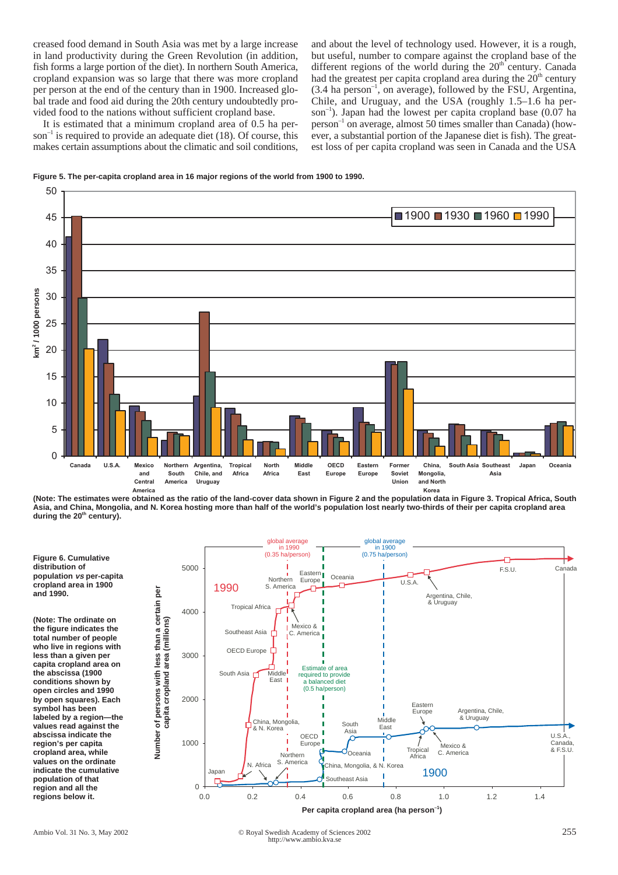creased food demand in South Asia was met by a large increase in land productivity during the Green Revolution (in addition, fish forms a large portion of the diet). In northern South America, cropland expansion was so large that there was more cropland per person at the end of the century than in 1900. Increased global trade and food aid during the 20th century undoubtedly provided food to the nations without sufficient cropland base.

It is estimated that a minimum cropland area of 0.5 ha per $son<sup>-1</sup>$  is required to provide an adequate diet (18). Of course, this makes certain assumptions about the climatic and soil conditions, and about the level of technology used. However, it is a rough, but useful, number to compare against the cropland base of the different regions of the world during the  $20<sup>th</sup>$  century. Canada had the greatest per capita cropland area during the  $20<sup>th</sup>$  century  $(3.4 \text{ ha person}^{-1})$ , on average), followed by the FSU, Argentina, Chile, and Uruguay, and the USA (roughly 1.5–1.6 ha person<sup>-1</sup>). Japan had the lowest per capita cropland base  $(0.07)$  ha  $person<sup>-1</sup>$  on average, almost 50 times smaller than Canada) (however, a substantial portion of the Japanese diet is fish). The greatest loss of per capita cropland was seen in Canada and the USA





**(Note: The estimates were obtained as the ratio of the land-cover data shown in Figure 2 and the population data in Figure 3. Tropical Africa, South** Asia, and China, Mongolia, and N. Korea hosting more than half of the world's population lost nearly two-thirds of their per capita cropland area<br>during the 20<sup>th</sup> century).

**Figure 6. Cumulative distribution of population vs per-capita cropland area in 1900 and 1990.**

**(Note: The ordinate on the figure indicates the total number of people who live in regions with less than a given per capita cropland area on the abscissa (1900 conditions shown by open circles and 1990 by open squares). Each symbol has been labeled by a region—the values read against the abscissa indicate the region's per capita cropland area, while values on the ordinate indicate the cumulative population of that region and all the regions below it.**

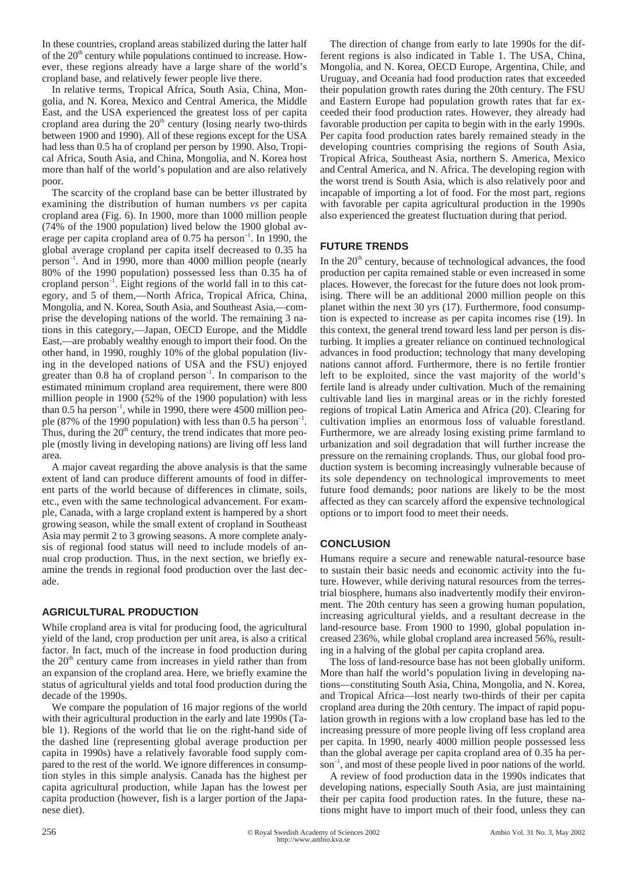In these countries, cropland areas stabilized during the latter half of the  $20<sup>th</sup>$  century while populations continued to increase. However, these regions already have a large share of the world's cropland base, and relatively fewer people live there.

In relative terms, Tropical Africa, South Asia, China, Mongolia, and N. Korea, Mexico and Central America, the Middle East, and the USA experienced the greatest loss of per capita cropland area during the  $20<sup>th</sup>$  century (losing nearly two-thirds between 1900 and 1990). All of these regions except for the USA had less than 0.5 ha of cropland per person by 1990. Also, Tropical Africa, South Asia, and China, Mongolia, and N. Korea host more than half of the world's population and are also relatively poor.

The scarcity of the cropland base can be better illustrated by examining the distribution of human numbers *vs* per capita cropland area (Fig. 6). In 1900, more than 1000 million people (74% of the 1900 population) lived below the 1900 global average per capita cropland area of  $0.75$  ha person<sup>-1</sup>. In 1990, the global average cropland per capita itself decreased to 0.35 ha person–1. And in 1990, more than 4000 million people (nearly 80% of the 1990 population) possessed less than 0.35 ha of cropland person<sup>-1</sup>. Eight regions of the world fall in to this category, and 5 of them,—North Africa, Tropical Africa, China, Mongolia, and N. Korea, South Asia, and Southeast Asia,—comprise the developing nations of the world. The remaining 3 nations in this category,—Japan, OECD Europe, and the Middle East,—are probably wealthy enough to import their food. On the other hand, in 1990, roughly 10% of the global population (living in the developed nations of USA and the FSU) enjoyed greater than  $0.8$  ha of cropland person<sup>-1</sup>. In comparison to the estimated minimum cropland area requirement, there were 800 million people in 1900 (52% of the 1900 population) with less than  $0.5$  ha person<sup>-1</sup>, while in 1990, there were 4500 million people (87% of the 1990 population) with less than  $0.5$  ha person<sup>-1</sup>. Thus, during the  $20<sup>th</sup>$  century, the trend indicates that more people (mostly living in developing nations) are living off less land area.

A major caveat regarding the above analysis is that the same extent of land can produce different amounts of food in different parts of the world because of differences in climate, soils, etc., even with the same technological advancement. For example, Canada, with a large cropland extent is hampered by a short growing season, while the small extent of cropland in Southeast Asia may permit 2 to 3 growing seasons. A more complete analysis of regional food status will need to include models of annual crop production. Thus, in the next section, we briefly examine the trends in regional food production over the last decade.

## **AGRICULTURAL PRODUCTION**

While cropland area is vital for producing food, the agricultural yield of the land, crop production per unit area, is also a critical factor. In fact, much of the increase in food production during the  $20<sup>th</sup>$  century came from increases in yield rather than from an expansion of the cropland area. Here, we briefly examine the status of agricultural yields and total food production during the decade of the 1990s.

We compare the population of 16 major regions of the world with their agricultural production in the early and late 1990s (Table 1). Regions of the world that lie on the right-hand side of the dashed line (representing global average production per capita in 1990s) have a relatively favorable food supply compared to the rest of the world. We ignore differences in consumption styles in this simple analysis. Canada has the highest per capita agricultural production, while Japan has the lowest per capita production (however, fish is a larger portion of the Japanese diet).

The direction of change from early to late 1990s for the different regions is also indicated in Table 1. The USA, China, Mongolia, and N. Korea, OECD Europe, Argentina, Chile, and Uruguay, and Oceania had food production rates that exceeded their population growth rates during the 20th century. The FSU and Eastern Europe had population growth rates that far exceeded their food production rates. However, they already had favorable production per capita to begin with in the early 1990s. Per capita food production rates barely remained steady in the developing countries comprising the regions of South Asia, Tropical Africa, Southeast Asia, northern S. America, Mexico and Central America, and N. Africa. The developing region with the worst trend is South Asia, which is also relatively poor and incapable of importing a lot of food. For the most part, regions with favorable per capita agricultural production in the 1990s also experienced the greatest fluctuation during that period.

## **FUTURE TRENDS**

In the 20<sup>th</sup> century, because of technological advances, the food production per capita remained stable or even increased in some places. However, the forecast for the future does not look promising. There will be an additional 2000 million people on this planet within the next 30 yrs (17). Furthermore, food consumption is expected to increase as per capita incomes rise (19). In this context, the general trend toward less land per person is disturbing. It implies a greater reliance on continued technological advances in food production; technology that many developing nations cannot afford. Furthermore, there is no fertile frontier left to be exploited, since the vast majority of the world's fertile land is already under cultivation. Much of the remaining cultivable land lies in marginal areas or in the richly forested regions of tropical Latin America and Africa (20). Clearing for cultivation implies an enormous loss of valuable forestland. Furthermore, we are already losing existing prime farmland to urbanization and soil degradation that will further increase the pressure on the remaining croplands. Thus, our global food production system is becoming increasingly vulnerable because of its sole dependency on technological improvements to meet future food demands; poor nations are likely to be the most affected as they can scarcely afford the expensive technological options or to import food to meet their needs.

## **CONCLUSION**

Humans require a secure and renewable natural-resource base to sustain their basic needs and economic activity into the future. However, while deriving natural resources from the terrestrial biosphere, humans also inadvertently modify their environment. The 20th century has seen a growing human population, increasing agricultural yields, and a resultant decrease in the land-resource base. From 1900 to 1990, global population increased 236%, while global cropland area increased 56%, resulting in a halving of the global per capita cropland area.

The loss of land-resource base has not been globally uniform. More than half the world's population living in developing nations—constituting South Asia, China, Mongolia, and N. Korea, and Tropical Africa—lost nearly two-thirds of their per capita cropland area during the 20th century. The impact of rapid population growth in regions with a low cropland base has led to the increasing pressure of more people living off less cropland area per capita. In 1990, nearly 4000 million people possessed less than the global average per capita cropland area of 0.35 ha person<sup>-1</sup>, and most of these people lived in poor nations of the world.

A review of food production data in the 1990s indicates that developing nations, especially South Asia, are just maintaining their per capita food production rates. In the future, these nations might have to import much of their food, unless they can